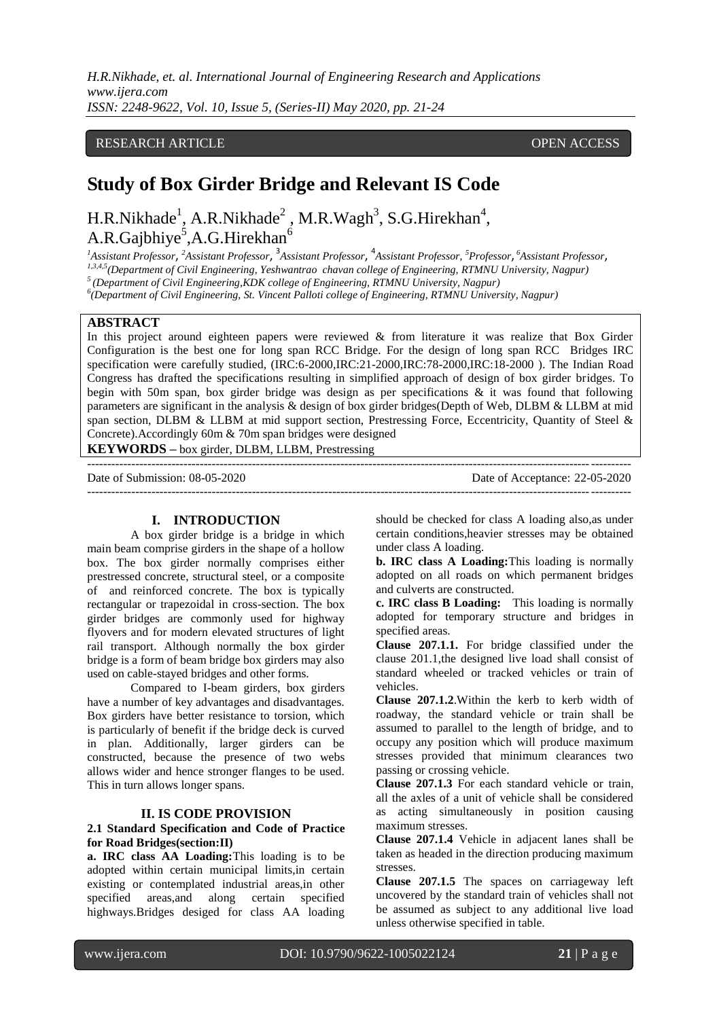*H.R.Nikhade, et. al. International Journal of Engineering Research and Applications www.ijera.com ISSN: 2248-9622, Vol. 10, Issue 5, (Series-II) May 2020, pp. 21-24*

## RESEARCH ARTICLE **CONSERVERS** OPEN ACCESS

# **Study of Box Girder Bridge and Relevant IS Code**

H.R.Nikhade<sup>1</sup>, A.R.Nikhade<sup>2</sup>, M.R.Wagh<sup>3</sup>, S.G.Hirekhan<sup>4</sup>, A.R.Gajbhiye<sup>5</sup>,A.G.Hirekhan<sup>6</sup>

*<sup>1</sup>Assistant Professor*, *<sup>2</sup>Assistant Professor*, 3 *Assistant Professor*, 4 *Assistant Professor, <sup>5</sup>Professor*, *<sup>6</sup>Assistant Professor*, *1,3,4,5(Department of Civil Engineering, Yeshwantrao chavan college of Engineering, RTMNU University, Nagpur) <sup>5</sup>(Department of Civil Engineering,KDK college of Engineering, RTMNU University, Nagpur)* 

*6 (Department of Civil Engineering, St. Vincent Palloti college of Engineering, RTMNU University, Nagpur)*

### **ABSTRACT**

In this project around eighteen papers were reviewed & from literature it was realize that Box Girder Configuration is the best one for long span RCC Bridge. For the design of long span RCC Bridges IRC specification were carefully studied, (IRC:6-2000,IRC:21-2000,IRC:78-2000,IRC:18-2000 ). The Indian Road Congress has drafted the specifications resulting in simplified approach of design of box girder bridges. To begin with 50m span, box girder bridge was design as per specifications & it was found that following parameters are significant in the analysis & design of box girder bridges(Depth of Web, DLBM & LLBM at mid span section, DLBM & LLBM at mid support section, Prestressing Force, Eccentricity, Quantity of Steel & Concrete).Accordingly 60m & 70m span bridges were designed

**KEYWORDS –** box girder, DLBM, LLBM, Prestressing

--------------------------------------------------------------------------------------------------------------------------------------- Date of Submission: 08-05-2020 Date of Acceptance: 22-05-2020 ---------------------------------------------------------------------------------------------------------------------------------------

### **I. INTRODUCTION**

A box girder bridge is a bridge in which main beam comprise girders in the shape of a hollow box. The box girder normally comprises either prestressed concrete, structural steel, or a composite of and reinforced concrete. The box is typically rectangular or trapezoidal in cross-section. The box girder bridges are commonly used for highway flyovers and for modern elevated structures of light rail transport. Although normally the box girder bridge is a form of beam bridge box girders may also used on cable-stayed bridges and other forms.

Compared to I-beam girders, box girders have a number of key advantages and disadvantages. Box girders have better resistance to torsion, which is particularly of benefit if the bridge deck is curved in plan. Additionally, larger girders can be constructed, because the presence of two webs allows wider and hence stronger flanges to be used. This in turn allows longer spans.

### **II. IS CODE PROVISION**

### **2.1 Standard Specification and Code of Practice for Road Bridges(section:II)**

**a. IRC class AA Loading:**This loading is to be adopted within certain municipal limits,in certain existing or contemplated industrial areas,in other specified areas,and along certain specified highways.Bridges desiged for class AA loading

should be checked for class A loading also,as under certain conditions,heavier stresses may be obtained under class A loading.

**b. IRC class A Loading:**This loading is normally adopted on all roads on which permanent bridges and culverts are constructed.

**c. IRC class B Loading:** This loading is normally adopted for temporary structure and bridges in specified areas.

**Clause 207.1.1.** For bridge classified under the clause 201.1,the designed live load shall consist of standard wheeled or tracked vehicles or train of vehicles.

**Clause 207.1.2**.Within the kerb to kerb width of roadway, the standard vehicle or train shall be assumed to parallel to the length of bridge, and to occupy any position which will produce maximum stresses provided that minimum clearances two passing or crossing vehicle.

**Clause 207.1.3** For each standard vehicle or train, all the axles of a unit of vehicle shall be considered as acting simultaneously in position causing maximum stresses.

**Clause 207.1.4** Vehicle in adjacent lanes shall be taken as headed in the direction producing maximum stresses.

**Clause 207.1.5** The spaces on carriageway left uncovered by the standard train of vehicles shall not be assumed as subject to any additional live load unless otherwise specified in table.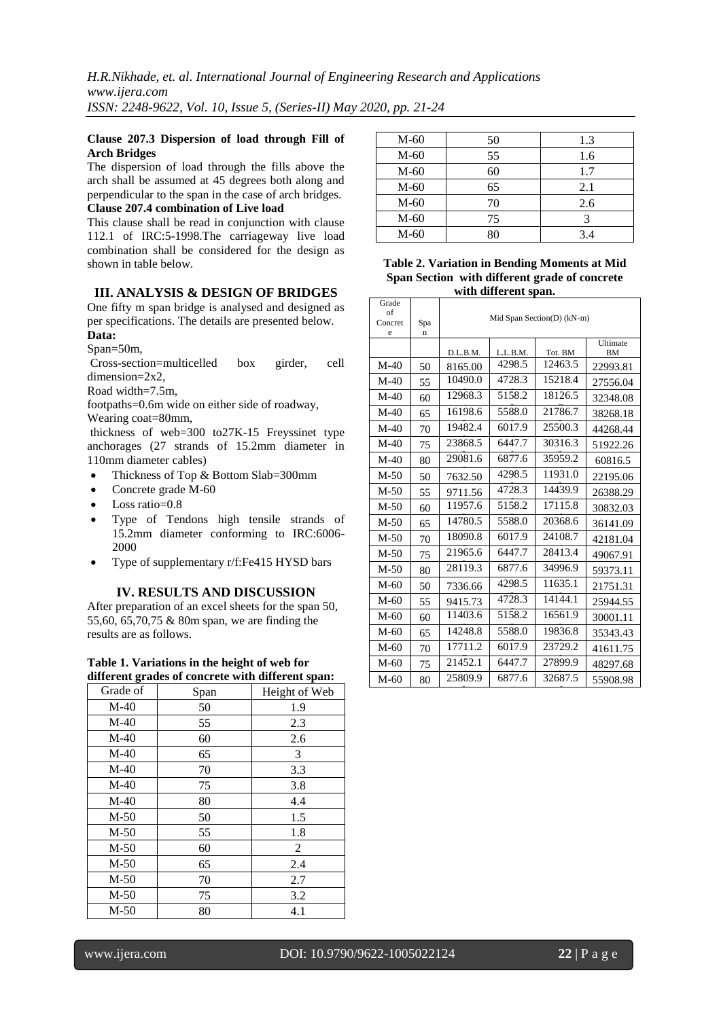### **Clause 207.3 Dispersion of load through Fill of Arch Bridges**

The dispersion of load through the fills above the arch shall be assumed at 45 degrees both along and perpendicular to the span in the case of arch bridges. **Clause 207.4 combination of Live load**

This clause shall be read in conjunction with clause 112.1 of IRC:5-1998.The carriageway live load combination shall be considered for the design as shown in table below.

## **III. ANALYSIS & DESIGN OF BRIDGES**

One fifty m span bridge is analysed and designed as per specifications. The details are presented below.

## **Data:**

Span=50m,

Cross-section=multicelled box girder, cell dimension=2x2,

Road width=7.5m,

footpaths=0.6m wide on either side of roadway, Wearing coat=80mm,

thickness of web=300 to27K-15 Freyssinet type anchorages (27 strands of 15.2mm diameter in 110mm diameter cables)

- Thickness of Top & Bottom Slab=300mm
- Concrete grade M-60
- Loss ratio=0.8
- Type of Tendons high tensile strands of 15.2mm diameter conforming to IRC:6006- 2000
- Type of supplementary r/f:Fe415 HYSD bars

## **IV. RESULTS AND DISCUSSION**

After preparation of an excel sheets for the span 50, 55,60, 65,70,75 & 80m span, we are finding the results are as follows.

**Table 1. Variations in the height of web for different grades of concrete with different span:**

| Span |               |  |
|------|---------------|--|
|      | Height of Web |  |
| 50   | 1.9           |  |
| 55   | 2.3           |  |
| 60   | 2.6           |  |
| 65   | 3             |  |
| 70   | 3.3           |  |
| 75   | 3.8           |  |
| 80   | 4.4           |  |
| 50   | 1.5           |  |
| 55   | 1.8           |  |
| 60   | 2             |  |
| 65   | 2.4           |  |
| 70   | 2.7           |  |
| 75   | 3.2           |  |
| 80   | 4.1           |  |
|      |               |  |

| $M-60$ | 50 | 1.3 |
|--------|----|-----|
| $M-60$ | 55 | 1.6 |
| $M-60$ | 60 | 1.7 |
| $M-60$ | 65 | 2.1 |
| $M-60$ | 70 | 2.6 |
| $M-60$ | 75 |     |
| $M-60$ | 80 | 3.4 |

### **Table 2. Variation in Bending Moments at Mid Span Section with different grade of concrete with different span.**

| Grade<br>of<br>Concret<br>e | Spa<br>n | Mid Span Section(D) (kN-m) |          |         |                       |
|-----------------------------|----------|----------------------------|----------|---------|-----------------------|
|                             |          | D.L.B.M.                   | L.L.B.M. | Tot. BM | Ultimate<br><b>BM</b> |
| $M-40$                      | 50       | 8165.00                    | 4298.5   | 12463.5 | 22993.81              |
| $M-40$                      | 55       | 10490.0                    | 4728.3   | 15218.4 | 27556.04              |
| $M-40$                      | 60       | 12968.3                    | 5158.2   | 18126.5 | 32348.08              |
| $M-40$                      | 65       | 16198.6                    | 5588.0   | 21786.7 | 38268.18              |
| $M-40$                      | 70       | 19482.4                    | 6017.9   | 25500.3 | 44268.44              |
| $M-40$                      | 75       | 23868.5                    | 6447.7   | 30316.3 | 51922.26              |
| $M-40$                      | 80       | 29081.6                    | 6877.6   | 35959.2 | 60816.5               |
| $M-50$                      | 50       | 7632.50                    | 4298.5   | 11931.0 | 22195.06              |
| $M-50$                      | 55       | 9711.56                    | 4728.3   | 14439.9 | 26388.29              |
| $M-50$                      | 60       | 11957.6                    | 5158.2   | 17115.8 | 30832.03              |
| $M-50$                      | 65       | 14780.5                    | 5588.0   | 20368.6 | 36141.09              |
| $M-50$                      | 70       | 18090.8                    | 6017.9   | 24108.7 | 42181.04              |
| $M-50$                      | 75       | 21965.6                    | 6447.7   | 28413.4 | 49067.91              |
| $M-50$                      | 80       | 28119.3                    | 6877.6   | 34996.9 | 59373.11              |
| $M-60$                      | 50       | 7336.66                    | 4298.5   | 11635.1 | 21751.31              |
| $M-60$                      | 55       | 9415.73                    | 4728.3   | 14144.1 | 25944.55              |
| $M-60$                      | 60       | 11403.6                    | 5158.2   | 16561.9 | 30001.11              |
| $M-60$                      | 65       | 14248.8                    | 5588.0   | 19836.8 | 35343.43              |
| $M-60$                      | 70       | 17711.2                    | 6017.9   | 23729.2 | 41611.75              |
| $M-60$                      | 75       | 21452.1                    | 6447.7   | 27899.9 | 48297.68              |
| $M-60$                      | 80       | 25809.9                    | 6877.6   | 32687.5 | 55908.98              |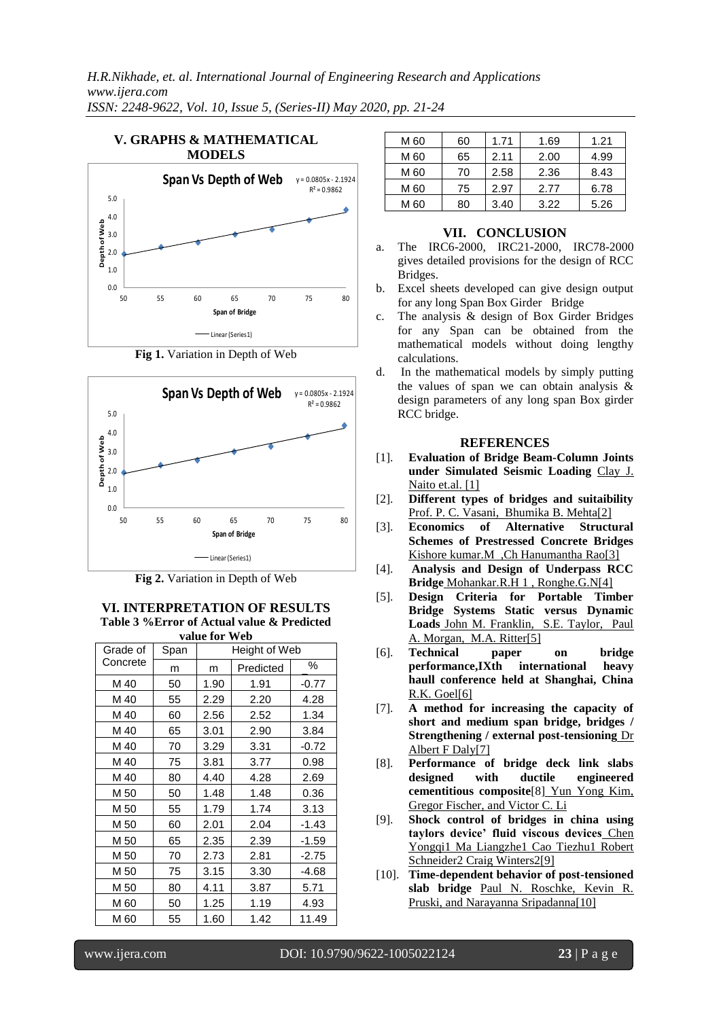## **V. GRAPHS & MATHEMATICAL MODELS**



**Fig 1.** Variation in Depth of Web



**Fig 2.** Variation in Depth of Web

#### **VI. INTERPRETATION OF RESULTS Table 3 %Error of Actual value & Predicted value for Web**

| valut IVI<br>11 L.V |      |               |           |         |  |  |  |
|---------------------|------|---------------|-----------|---------|--|--|--|
| Grade of            | Span | Height of Web |           |         |  |  |  |
| Concrete            | m    | m             | Predicted | ℅       |  |  |  |
| M 40                | 50   | 1.90          | 1.91      | $-0.77$ |  |  |  |
| M 40                | 55   | 2.29          | 2.20      | 4.28    |  |  |  |
| M 40                | 60   | 2.56          | 2.52      | 1.34    |  |  |  |
| M 40                | 65   | 3.01          | 2.90      | 3.84    |  |  |  |
| M 40                | 70   | 3.29          | 3.31      | $-0.72$ |  |  |  |
| M 40                | 75   | 3.81          | 3.77      | 0.98    |  |  |  |
| M 40                | 80   | 4.40          | 4.28      | 2.69    |  |  |  |
| M 50                | 50   | 1.48          | 1.48      | 0.36    |  |  |  |
| M 50                | 55   | 1.79          | 1.74      | 3.13    |  |  |  |
| M 50                | 60   | 2.01          | 2.04      | $-1.43$ |  |  |  |
| M 50                | 65   | 2.35          | 2.39      | $-1.59$ |  |  |  |
| M 50                | 70   | 2.73          | 2.81      | $-2.75$ |  |  |  |
| M 50                | 75   | 3.15          | 3.30      | -4.68   |  |  |  |
| M 50                | 80   | 4.11          | 3.87      | 5.71    |  |  |  |
| M 60                | 50   | 1.25          | 1.19      | 4.93    |  |  |  |
| M 60                | 55   | 1.60          | 1.42      | 11.49   |  |  |  |

| M 60 | 60 | 1.71 | 1.69 | 1.21 |
|------|----|------|------|------|
| M 60 | 65 | 2.11 | 2.00 | 4.99 |
| M 60 | 70 | 2.58 | 2.36 | 8.43 |
| M 60 | 75 | 2.97 | 2.77 | 6.78 |
| M 60 | 80 | 3.40 | 3.22 | 5.26 |

## **VII. CONCLUSION**

- a. The IRC6-2000, IRC21-2000, IRC78-2000 gives detailed provisions for the design of RCC Bridges.
- b. Excel sheets developed can give design output for any long Span Box Girder Bridge
- c. The analysis & design of Box Girder Bridges for any Span can be obtained from the mathematical models without doing lengthy calculations.
- d. In the mathematical models by simply putting the values of span we can obtain analysis & design parameters of any long span Box girder RCC bridge.

## **REFERENCES**

- [1]. **Evaluation of Bridge Beam-Column Joints under Simulated Seismic Loading** Clay J. Naito et.al. [1]
- [2]. **Different types of bridges and suitaibility** Prof. P. C. Vasani, Bhumika B. Mehta[2]
- [3]. **Economics of Alternative Structural Schemes of Prestressed Concrete Bridges** Kishore kumar.M ,Ch Hanumantha Rao[3]
- [4]. **Analysis and Design of Underpass RCC Bridge** Mohankar.R.H 1 , Ronghe.G.N[4]
- [5]. **Design Criteria for Portable Timber Bridge Systems Static versus Dynamic Loads** John M. Franklin, S.E. Taylor, Paul A. Morgan, M.A. Ritter[5]
- [6]. **Technical paper on bridge performance,IXth international heavy haull conference held at Shanghai, China** R.K. Goel[6]
- [7]. **A method for increasing the capacity of short and medium span bridge, bridges / Strengthening / external post-tensioning** Dr Albert F Daly[7]
- [8]. **Performance of bridge deck link slabs designed with ductile engineered cementitious composite**[8] Yun Yong Kim, Gregor Fischer, and Victor C. Li
- [9]. **Shock control of bridges in china using taylors device' fluid viscous devices** Chen Yongqi1 Ma Liangzhe1 Cao Tiezhu1 Robert Schneider2 Craig Winters2[9]
- [10]. **Time-dependent behavior of post-tensioned slab bridge** Paul N. Roschke, Kevin R. Pruski, and Narayanna Sripadanna<sup>[10]</sup>